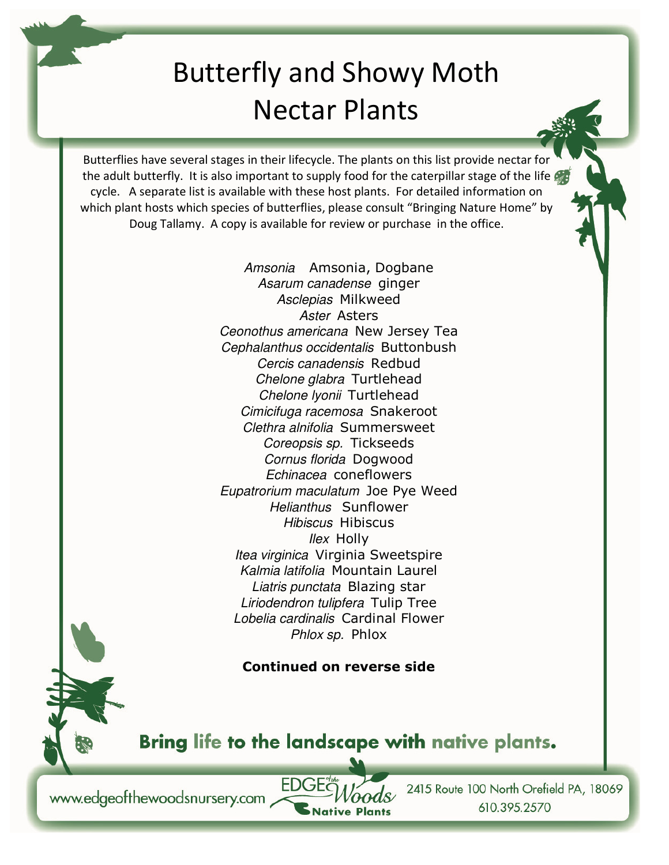## Butterfly and Showy Moth Nectar Plants

Butterflies have several stages in their lifecycle. The plants on this list provide nectar for the adult butterfly. It is also important to supply food for the caterpillar stage of the life cycle. A separate list is available with these host plants. For detailed information on which plant hosts which species of butterflies, please consult "Bringing Nature Home" by Doug Tallamy. A copy is available for review or purchase in the office.

> Amsonia Amsonia, Dogbane Asarum canadense ginger Asclepias Milkweed Aster Asters Ceonothus americana New Jersey Tea Cephalanthus occidentalis Buttonbush Cercis canadensis Redbud Chelone glabra Turtlehead Chelone lyonii Turtlehead Cimicifuga racemosa Snakeroot Clethra alnifolia Summersweet Coreopsis sp. Tickseeds Cornus florida Dogwood Echinacea coneflowers Eupatrorium maculatum Joe Pye Weed Helianthus Sunflower Hibiscus Hibiscus *Ilex* Holly Itea virginica Virginia Sweetspire Kalmia latifolia Mountain Laurel Liatris punctata Blazing star Liriodendron tulipfera Tulip Tree Lobelia cardinalis Cardinal Flower Phlox sp. Phlox

## **Continued on reverse side**

Bring life to the landscape with native plants.

**Native Plants** 

FDC

www.edgeofthewoodsnursery.com

2415 Route 100 North Orefield PA, 18069 610.395.2570